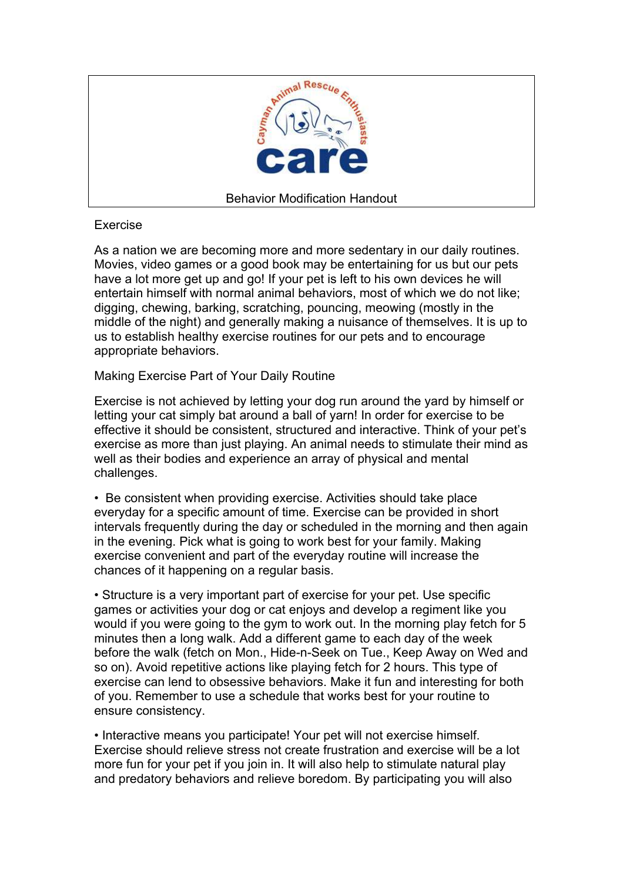

# Exercise

As a nation we are becoming more and more sedentary in our daily routines. Movies, video games or a good book may be entertaining for us but our pets have a lot more get up and go! If your pet is left to his own devices he will entertain himself with normal animal behaviors, most of which we do not like; digging, chewing, barking, scratching, pouncing, meowing (mostly in the middle of the night) and generally making a nuisance of themselves. It is up to us to establish healthy exercise routines for our pets and to encourage appropriate behaviors.

Making Exercise Part of Your Daily Routine

Exercise is not achieved by letting your dog run around the yard by himself or letting your cat simply bat around a ball of yarn! In order for exercise to be effective it should be consistent, structured and interactive. Think of your pet's exercise as more than just playing. An animal needs to stimulate their mind as well as their bodies and experience an array of physical and mental challenges.

• Be consistent when providing exercise. Activities should take place everyday for a specific amount of time. Exercise can be provided in short intervals frequently during the day or scheduled in the morning and then again in the evening. Pick what is going to work best for your family. Making exercise convenient and part of the everyday routine will increase the chances of it happening on a regular basis.

• Structure is a very important part of exercise for your pet. Use specific games or activities your dog or cat enjoys and develop a regiment like you would if you were going to the gym to work out. In the morning play fetch for 5 minutes then a long walk. Add a different game to each day of the week before the walk (fetch on Mon., Hide-n-Seek on Tue., Keep Away on Wed and so on). Avoid repetitive actions like playing fetch for 2 hours. This type of exercise can lend to obsessive behaviors. Make it fun and interesting for both of you. Remember to use a schedule that works best for your routine to ensure consistency.

• Interactive means you participate! Your pet will not exercise himself. Exercise should relieve stress not create frustration and exercise will be a lot more fun for your pet if you join in. It will also help to stimulate natural play and predatory behaviors and relieve boredom. By participating you will also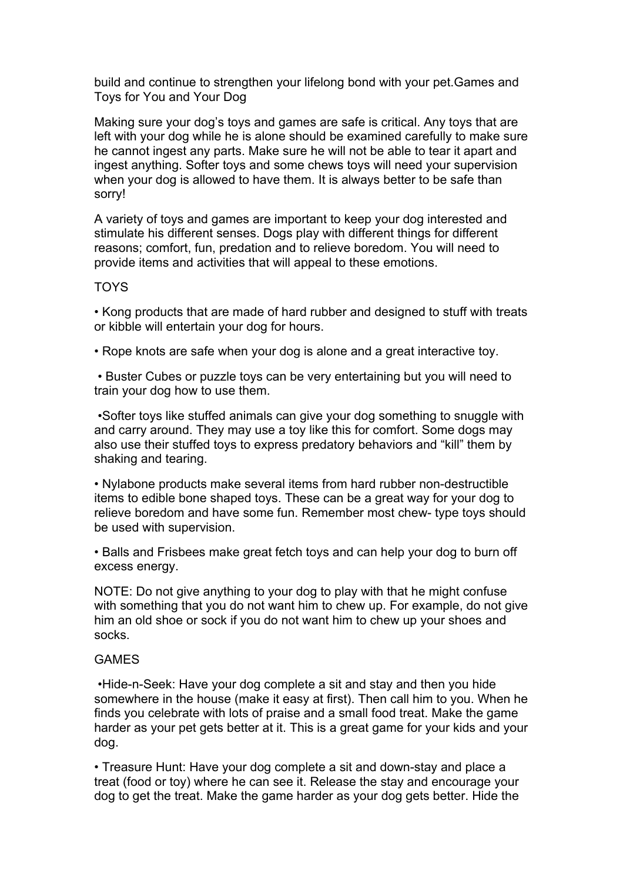build and continue to strengthen your lifelong bond with your pet.Games and Toys for You and Your Dog

Making sure your dog's toys and games are safe is critical. Any toys that are left with your dog while he is alone should be examined carefully to make sure he cannot ingest any parts. Make sure he will not be able to tear it apart and ingest anything. Softer toys and some chews toys will need your supervision when your dog is allowed to have them. It is always better to be safe than sorry!

A variety of toys and games are important to keep your dog interested and stimulate his different senses. Dogs play with different things for different reasons; comfort, fun, predation and to relieve boredom. You will need to provide items and activities that will appeal to these emotions.

# TOYS

• Kong products that are made of hard rubber and designed to stuff with treats or kibble will entertain your dog for hours.

• Rope knots are safe when your dog is alone and a great interactive toy.

 • Buster Cubes or puzzle toys can be very entertaining but you will need to train your dog how to use them.

 •Softer toys like stuffed animals can give your dog something to snuggle with and carry around. They may use a toy like this for comfort. Some dogs may also use their stuffed toys to express predatory behaviors and "kill" them by shaking and tearing.

• Nylabone products make several items from hard rubber non-destructible items to edible bone shaped toys. These can be a great way for your dog to relieve boredom and have some fun. Remember most chew- type toys should be used with supervision.

• Balls and Frisbees make great fetch toys and can help your dog to burn off excess energy.

NOTE: Do not give anything to your dog to play with that he might confuse with something that you do not want him to chew up. For example, do not give him an old shoe or sock if you do not want him to chew up your shoes and socks.

### **GAMES**

 •Hide-n-Seek: Have your dog complete a sit and stay and then you hide somewhere in the house (make it easy at first). Then call him to you. When he finds you celebrate with lots of praise and a small food treat. Make the game harder as your pet gets better at it. This is a great game for your kids and your dog.

• Treasure Hunt: Have your dog complete a sit and down-stay and place a treat (food or toy) where he can see it. Release the stay and encourage your dog to get the treat. Make the game harder as your dog gets better. Hide the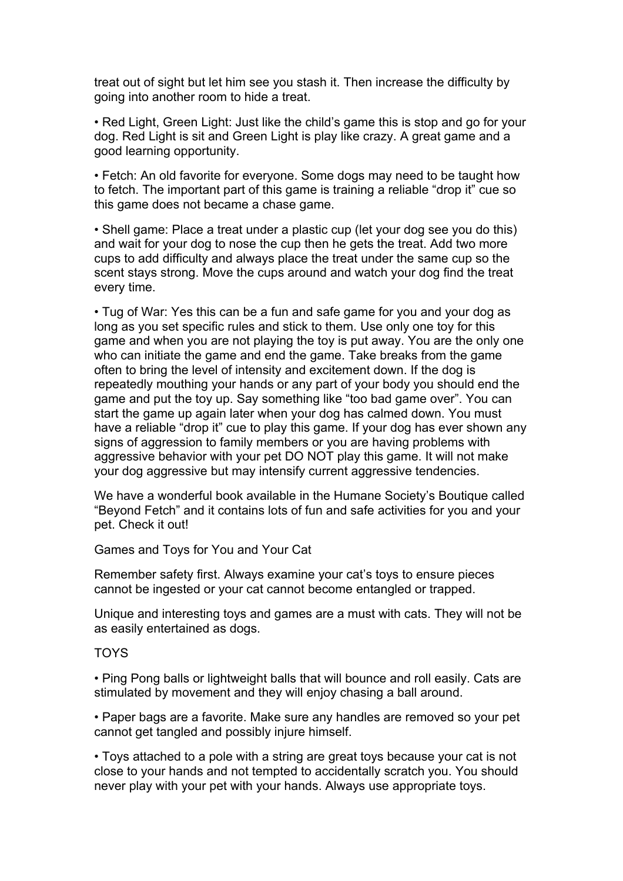treat out of sight but let him see you stash it. Then increase the difficulty by going into another room to hide a treat.

• Red Light, Green Light: Just like the child's game this is stop and go for your dog. Red Light is sit and Green Light is play like crazy. A great game and a good learning opportunity.

• Fetch: An old favorite for everyone. Some dogs may need to be taught how to fetch. The important part of this game is training a reliable "drop it" cue so this game does not became a chase game.

• Shell game: Place a treat under a plastic cup (let your dog see you do this) and wait for your dog to nose the cup then he gets the treat. Add two more cups to add difficulty and always place the treat under the same cup so the scent stays strong. Move the cups around and watch your dog find the treat every time.

• Tug of War: Yes this can be a fun and safe game for you and your dog as long as you set specific rules and stick to them. Use only one toy for this game and when you are not playing the toy is put away. You are the only one who can initiate the game and end the game. Take breaks from the game often to bring the level of intensity and excitement down. If the dog is repeatedly mouthing your hands or any part of your body you should end the game and put the toy up. Say something like "too bad game over". You can start the game up again later when your dog has calmed down. You must have a reliable "drop it" cue to play this game. If your dog has ever shown any signs of aggression to family members or you are having problems with aggressive behavior with your pet DO NOT play this game. It will not make your dog aggressive but may intensify current aggressive tendencies.

We have a wonderful book available in the Humane Society's Boutique called "Beyond Fetch" and it contains lots of fun and safe activities for you and your pet. Check it out!

Games and Toys for You and Your Cat

Remember safety first. Always examine your cat's toys to ensure pieces cannot be ingested or your cat cannot become entangled or trapped.

Unique and interesting toys and games are a must with cats. They will not be as easily entertained as dogs.

## TOYS

• Ping Pong balls or lightweight balls that will bounce and roll easily. Cats are stimulated by movement and they will enjoy chasing a ball around.

• Paper bags are a favorite. Make sure any handles are removed so your pet cannot get tangled and possibly injure himself.

• Toys attached to a pole with a string are great toys because your cat is not close to your hands and not tempted to accidentally scratch you. You should never play with your pet with your hands. Always use appropriate toys.